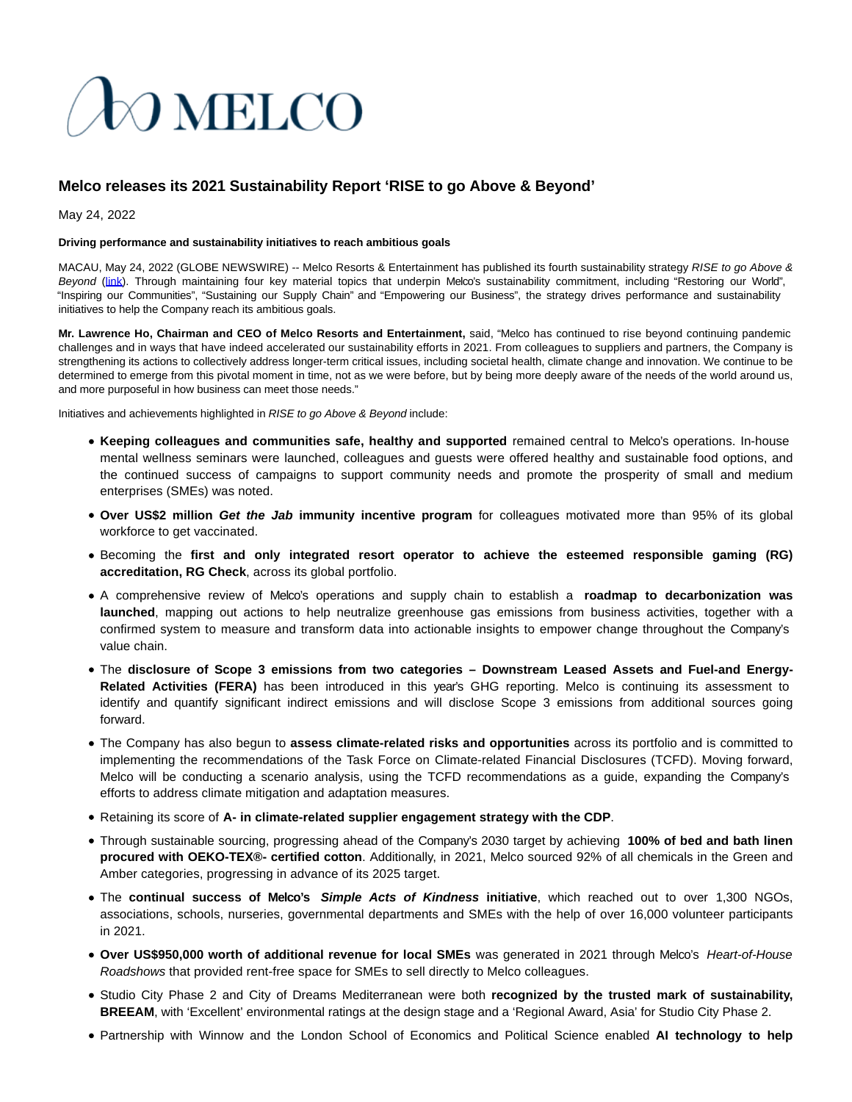# **DO MELCO**

## **Melco releases its 2021 Sustainability Report 'RISE to go Above & Beyond'**

May 24, 2022

#### **Driving performance and sustainability initiatives to reach ambitious goals**

MACAU, May 24, 2022 (GLOBE NEWSWIRE) -- Melco Resorts & Entertainment has published its fourth sustainability strategy RISE to go Above & Beyond [\(link\).](https://www.globenewswire.com/Tracker?data=Hj8t5u31bfD-mMKwusnTwMIOA68WxZQuXtmf1X7SoN8u24Sdxo_ISGhQTBu9OQmWuEgHSyPI9yI8h5c-dmW45F2pI8G1lEx1zs18LWQIbjSBl2eUvalD0geLUM_530dZ_18gXgwqeo1Q3y-bf38qqQ==) Through maintaining four key material topics that underpin Melco's sustainability commitment, including "Restoring our World", "Inspiring our Communities", "Sustaining our Supply Chain" and "Empowering our Business", the strategy drives performance and sustainability initiatives to help the Company reach its ambitious goals.

**Mr. Lawrence Ho, Chairman and CEO of Melco Resorts and Entertainment,** said, "Melco has continued to rise beyond continuing pandemic challenges and in ways that have indeed accelerated our sustainability efforts in 2021. From colleagues to suppliers and partners, the Company is strengthening its actions to collectively address longer-term critical issues, including societal health, climate change and innovation. We continue to be determined to emerge from this pivotal moment in time, not as we were before, but by being more deeply aware of the needs of the world around us, and more purposeful in how business can meet those needs."

Initiatives and achievements highlighted in RISE to go Above & Beyond include:

- **Keeping colleagues and communities safe, healthy and supported** remained central to Melco's operations. In-house mental wellness seminars were launched, colleagues and guests were offered healthy and sustainable food options, and the continued success of campaigns to support community needs and promote the prosperity of small and medium enterprises (SMEs) was noted.
- **Over US\$2 million Get the Jab immunity incentive program** for colleagues motivated more than 95% of its global workforce to get vaccinated.
- Becoming the **first and only integrated resort operator to achieve the esteemed responsible gaming (RG) accreditation, RG Check**, across its global portfolio.
- A comprehensive review of Melco's operations and supply chain to establish a **roadmap to decarbonization was launched**, mapping out actions to help neutralize greenhouse gas emissions from business activities, together with a confirmed system to measure and transform data into actionable insights to empower change throughout the Company's value chain.
- The **disclosure of Scope 3 emissions from two categories Downstream Leased Assets and Fuel-and Energy-Related Activities (FERA)** has been introduced in this year's GHG reporting. Melco is continuing its assessment to identify and quantify significant indirect emissions and will disclose Scope 3 emissions from additional sources going forward.
- The Company has also begun to **assess climate-related risks and opportunities** across its portfolio and is committed to implementing the recommendations of the Task Force on Climate-related Financial Disclosures (TCFD). Moving forward, Melco will be conducting a scenario analysis, using the TCFD recommendations as a guide, expanding the Company's efforts to address climate mitigation and adaptation measures.
- Retaining its score of **A- in climate-related supplier engagement strategy with the CDP**.
- Through sustainable sourcing, progressing ahead of the Company's 2030 target by achieving **100% of bed and bath linen procured with OEKO-TEX®- certified cotton**. Additionally, in 2021, Melco sourced 92% of all chemicals in the Green and Amber categories, progressing in advance of its 2025 target.
- The **continual success of Melco's Simple Acts of Kindness initiative**, which reached out to over 1,300 NGOs, associations, schools, nurseries, governmental departments and SMEs with the help of over 16,000 volunteer participants in 2021.
- **Over US\$950,000 worth of additional revenue for local SMEs** was generated in 2021 through Melco's Heart-of-House Roadshows that provided rent-free space for SMEs to sell directly to Melco colleagues.
- Studio City Phase 2 and City of Dreams Mediterranean were both **recognized by the trusted mark of sustainability, BREEAM**, with 'Excellent' environmental ratings at the design stage and a 'Regional Award, Asia' for Studio City Phase 2.
- Partnership with Winnow and the London School of Economics and Political Science enabled **AI technology to help**